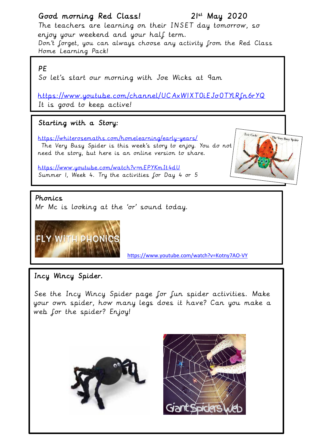# Good morning Red Class! 21st May 2020

The teachers are learning on their INSET day tomorrow, so enjoy your weekend and your half term. Don't forget, you can always choose any activity from the Red Class Home Learning Pack!

## PE

So let's start our morning with Joe Wicks at 9am

<https://www.youtube.com/channel/UCAxW1XT0iEJo0TYlRfn6rYQ> It is good to keep active!

# Starting with a Story:

<https://whiterosemaths.com/homelearning/early-years/> The Very Busy Spider is this week's story to enjoy. You do not need the story, but here is an online version to share.



### Phonics

Mr Mc is looking at the 'or' sound today.

<https://www.youtube.com/watch?v=nEPYKmIt4dU>

Summer 1, Week 4. Try the activities for Day 4 or 5



<https://www.youtube.com/watch?v=Kotny7AO-VY>

# Incy Wincy Spider.

See the Incy Wincy Spider page for fun spider activities. Make your own spider, how many legs does it have? Can you make a web for the spider? Enjoy!